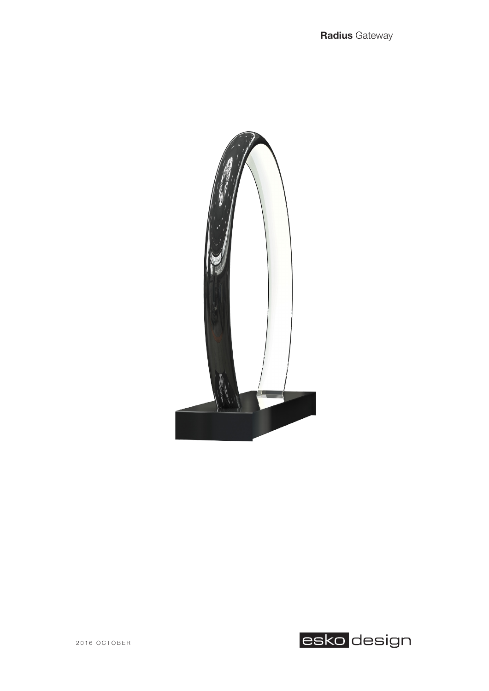